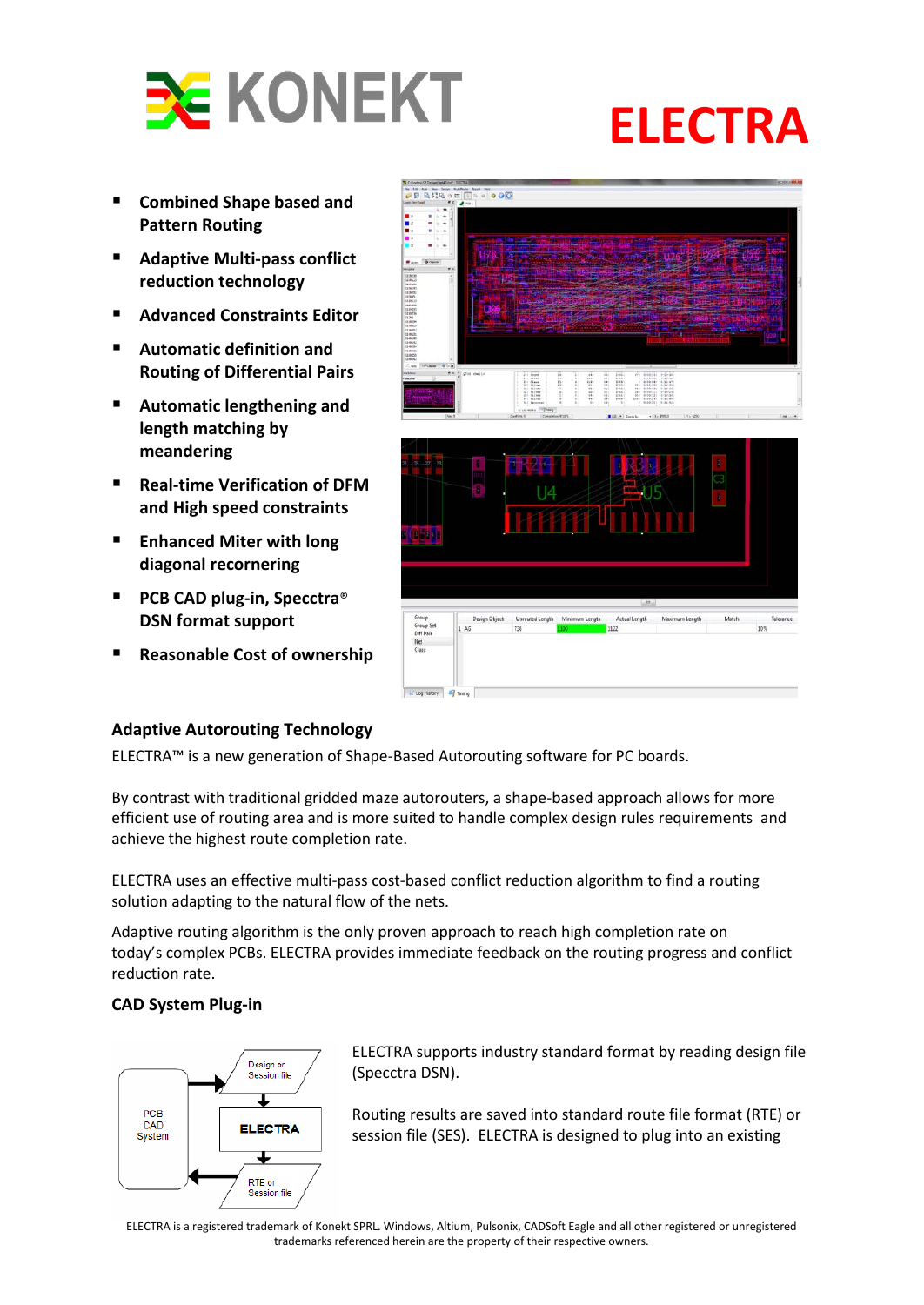

- **Combined Shape based and Pattern Routing**
- **Adaptive Multi-pass conflict reduction technology**
- **Advanced Constraints Editor**
- **Automatic definition and Routing of Differential Pairs**
- **Automatic lengthening and length matching by meandering**
- **Real-time Verification of DFM and High speed constraints**
- **Enhanced Miter with long diagonal recornering**
- PCB CAD plug-in, Specctra<sup>®</sup> **DSN format support**
- **Reasonable Cost of ownership**



## **Adaptive Autorouting Technology**

ELECTRA™ is a new generation of Shape-Based Autorouting software for PC boards.

By contrast with traditional gridded maze autorouters, a shape-based approach allows for more efficient use of routing area and is more suited to handle complex design rules requirements and achieve the highest route completion rate.

ELECTRA uses an effective multi-pass cost-based conflict reduction algorithm to find a routing solution adapting to the natural flow of the nets.

Adaptive routing algorithm is the only proven approach to reach high completion rate on today's complex PCBs. ELECTRA provides immediate feedback on the routing progress and conflict reduction rate.

# **CAD System Plug-in**



ELECTRA supports industry standard format by reading design file (Specctra DSN).

Routing results are saved into standard route file format (RTE) or session file (SES). ELECTRA is designed to plug into an existing

ELECTRA is a registered trademark of Konekt SPRL. Windows, Altium, Pulsonix, CADSoft Eagle and all other registered or unregistered trademarks referenced herein are the property of their respective owners.